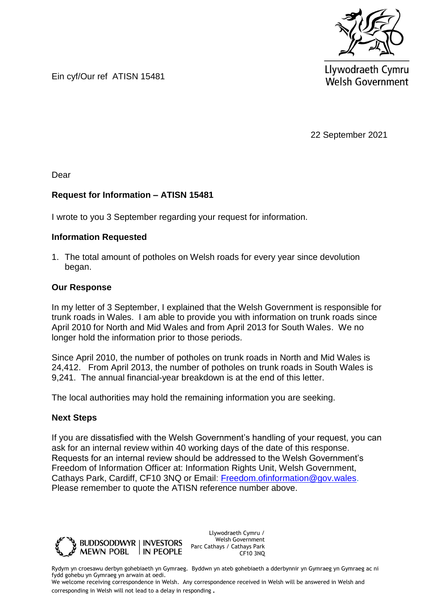

Llywodraeth Cymru **Welsh Government** 

Ein cyf/Our ref ATISN 15481

22 September 2021

Dear

## **Request for Information – ATISN 15481**

I wrote to you 3 September regarding your request for information.

## **Information Requested**

1. The total amount of potholes on Welsh roads for every year since devolution began.

## **Our Response**

In my letter of 3 September, I explained that the Welsh Government is responsible for trunk roads in Wales. I am able to provide you with information on trunk roads since April 2010 for North and Mid Wales and from April 2013 for South Wales. We no longer hold the information prior to those periods.

Since April 2010, the number of potholes on trunk roads in North and Mid Wales is 24,412. From April 2013, the number of potholes on trunk roads in South Wales is 9,241. The annual financial-year breakdown is at the end of this letter.

The local authorities may hold the remaining information you are seeking.

## **Next Steps**

If you are dissatisfied with the Welsh Government's handling of your request, you can ask for an internal review within 40 working days of the date of this response. Requests for an internal review should be addressed to the Welsh Government's Freedom of Information Officer at: Information Rights Unit, Welsh Government, Cathays Park, Cardiff, CF10 3NQ or Email: [Freedom.ofinformation@gov.wales.](mailto:Freedom.ofinformation@gov.wales) Please remember to quote the ATISN reference number above.



Llywodraeth Cymru / Welsh Government Parc Cathays / Cathays Park CF10 3NQ

Rydym yn croesawu derbyn gohebiaeth yn Gymraeg. Byddwn yn ateb gohebiaeth a dderbynnir yn Gymraeg yn Gymraeg ac ni fydd gohebu yn Gymraeg yn arwain at oedi.

We welcome receiving correspondence in Welsh. Any correspondence received in Welsh will be answered in Welsh and corresponding in Welsh will not lead to a delay in responding.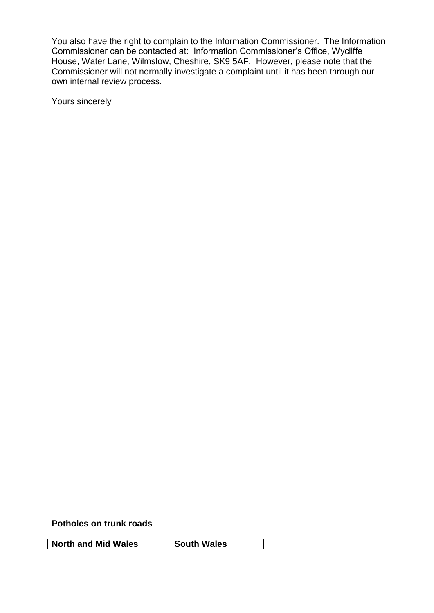You also have the right to complain to the Information Commissioner. The Information Commissioner can be contacted at: Information Commissioner's Office, Wycliffe House, Water Lane, Wilmslow, Cheshire, SK9 5AF. However, please note that the Commissioner will not normally investigate a complaint until it has been through our own internal review process.

Yours sincerely

**Potholes on trunk roads** 

**North and Mid Wales South Wales**